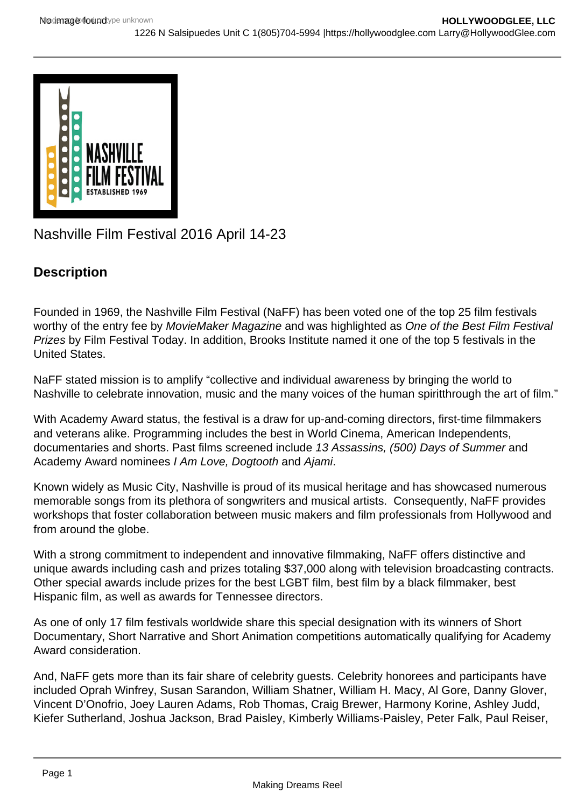

Nashville Film Festival 2016 April 14-23

## **Description**

Founded in 1969, the Nashville Film Festival (NaFF) has been voted one of the top 25 film festivals worthy of the entry fee by MovieMaker Magazine and was highlighted as One of the Best Film Festival Prizes by Film Festival Today. In addition, Brooks Institute named it one of the top 5 festivals in the United States.

NaFF stated mission is to amplify "collective and individual awareness by bringing the world to Nashville to celebrate innovation, music and the many voices of the human spiritthrough the art of film."

With Academy Award status, the festival is a draw for up-and-coming directors, first-time filmmakers and veterans alike. Programming includes the best in World Cinema, American Independents, documentaries and shorts. Past films screened include 13 Assassins, (500) Days of Summer and Academy Award nominees I Am Love, Dogtooth and Ajami.

Known widely as Music City, Nashville is proud of its musical heritage and has showcased numerous memorable songs from its plethora of songwriters and musical artists. Consequently, NaFF provides workshops that foster collaboration between music makers and film professionals from Hollywood and from around the globe.

With a strong commitment to independent and innovative filmmaking, NaFF offers distinctive and unique awards including cash and prizes totaling \$37,000 along with television broadcasting contracts. Other special awards include prizes for the best LGBT film, best film by a black filmmaker, best Hispanic film, as well as awards for Tennessee directors.

As one of only 17 film festivals worldwide share this special designation with its winners of Short Documentary, Short Narrative and Short Animation competitions automatically qualifying for Academy Award consideration.

And, NaFF gets more than its fair share of celebrity guests. Celebrity honorees and participants have included Oprah Winfrey, Susan Sarandon, William Shatner, William H. Macy, Al Gore, Danny Glover, Vincent D'Onofrio, Joey Lauren Adams, Rob Thomas, Craig Brewer, Harmony Korine, Ashley Judd, Kiefer Sutherland, Joshua Jackson, Brad Paisley, Kimberly Williams-Paisley, Peter Falk, Paul Reiser,